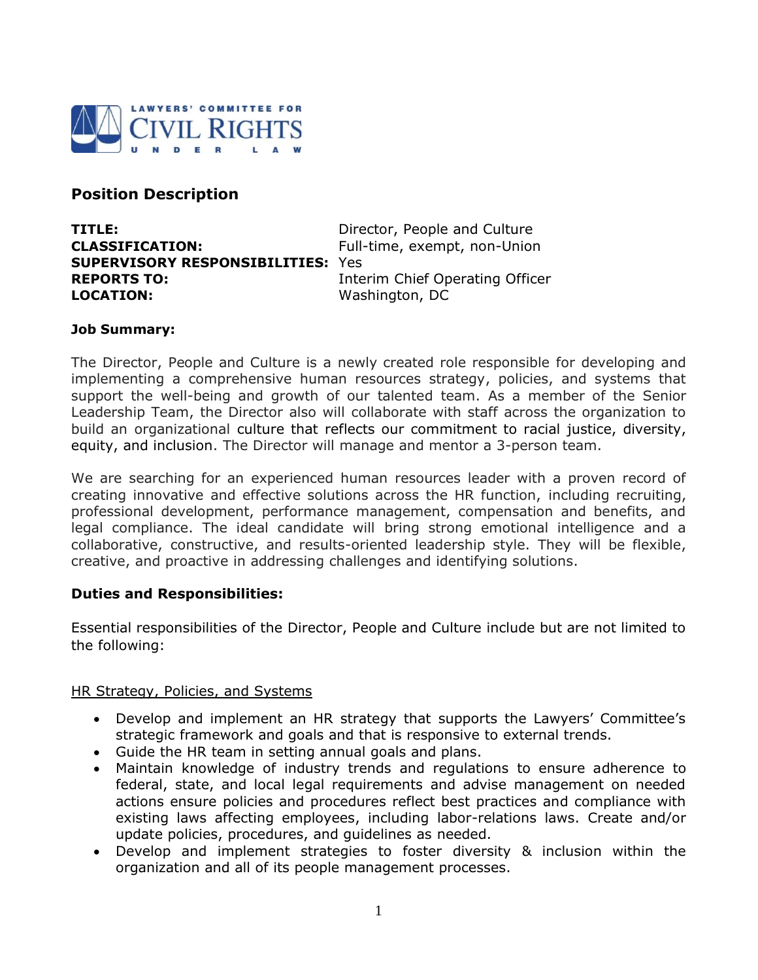

# **Position Description**

| TITLE:                                   | Director, People and Culture    |
|------------------------------------------|---------------------------------|
| <b>CLASSIFICATION:</b>                   | Full-time, exempt, non-Union    |
| <b>SUPERVISORY RESPONSIBILITIES: Yes</b> |                                 |
| <b>REPORTS TO:</b>                       | Interim Chief Operating Officer |
| <b>LOCATION:</b>                         | Washington, DC                  |

## **Job Summary:**

The Director, People and Culture is a newly created role responsible for developing and implementing a comprehensive human resources strategy, policies, and systems that support the well-being and growth of our talented team. As a member of the Senior Leadership Team, the Director also will collaborate with staff across the organization to build an organizational culture that reflects our commitment to racial justice, diversity, equity, and inclusion. The Director will manage and mentor a 3-person team.

We are searching for an experienced human resources leader with a proven record of creating innovative and effective solutions across the HR function, including recruiting, professional development, performance management, compensation and benefits, and legal compliance. The ideal candidate will bring strong emotional intelligence and a collaborative, constructive, and results-oriented leadership style. They will be flexible, creative, and proactive in addressing challenges and identifying solutions.

## **Duties and Responsibilities:**

Essential responsibilities of the Director, People and Culture include but are not limited to the following:

## HR Strategy, Policies, and Systems

- Develop and implement an HR strategy that supports the Lawyers' Committee's strategic framework and goals and that is responsive to external trends.
- Guide the HR team in setting annual goals and plans.
- Maintain knowledge of industry trends and regulations to ensure adherence to federal, state, and local legal requirements and advise management on needed actions ensure policies and procedures reflect best practices and compliance with existing laws affecting employees, including labor-relations laws. Create and/or update policies, procedures, and guidelines as needed.
- Develop and implement strategies to foster diversity & inclusion within the organization and all of its people management processes.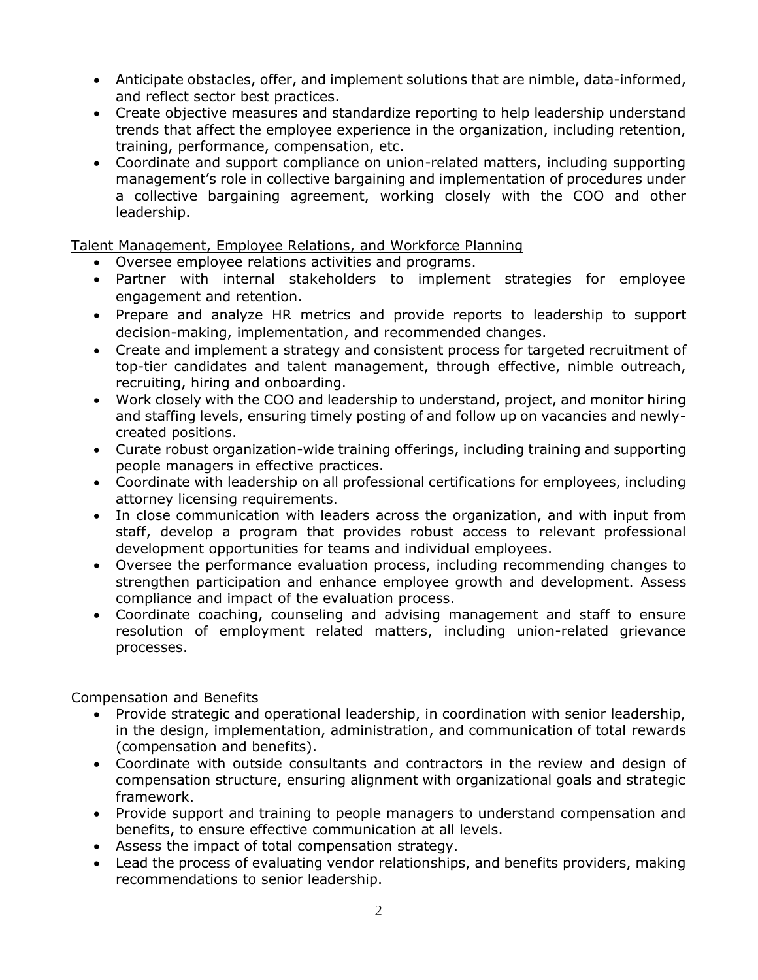- Anticipate obstacles, offer, and implement solutions that are nimble, data-informed, and reflect sector best practices.
- Create objective measures and standardize reporting to help leadership understand trends that affect the employee experience in the organization, including retention, training, performance, compensation, etc.
- Coordinate and support compliance on union-related matters, including supporting management's role in collective bargaining and implementation of procedures under a collective bargaining agreement, working closely with the COO and other leadership.

Talent Management, Employee Relations, and Workforce Planning

- Oversee employee relations activities and programs.
- Partner with internal stakeholders to implement strategies for employee engagement and retention.
- Prepare and analyze HR metrics and provide reports to leadership to support decision-making, implementation, and recommended changes.
- Create and implement a strategy and consistent process for targeted recruitment of top-tier candidates and talent management, through effective, nimble outreach, recruiting, hiring and onboarding.
- Work closely with the COO and leadership to understand, project, and monitor hiring and staffing levels, ensuring timely posting of and follow up on vacancies and newlycreated positions.
- Curate robust organization-wide training offerings, including training and supporting people managers in effective practices.
- Coordinate with leadership on all professional certifications for employees, including attorney licensing requirements.
- In close communication with leaders across the organization, and with input from staff, develop a program that provides robust access to relevant professional development opportunities for teams and individual employees.
- Oversee the performance evaluation process, including recommending changes to strengthen participation and enhance employee growth and development. Assess compliance and impact of the evaluation process.
- Coordinate coaching, counseling and advising management and staff to ensure resolution of employment related matters, including union-related grievance processes.

# Compensation and Benefits

- Provide strategic and operational leadership, in coordination with senior leadership, in the design, implementation, administration, and communication of total rewards (compensation and benefits).
- Coordinate with outside consultants and contractors in the review and design of compensation structure, ensuring alignment with organizational goals and strategic framework.
- Provide support and training to people managers to understand compensation and benefits, to ensure effective communication at all levels.
- Assess the impact of total compensation strategy.
- Lead the process of evaluating vendor relationships, and benefits providers, making recommendations to senior leadership.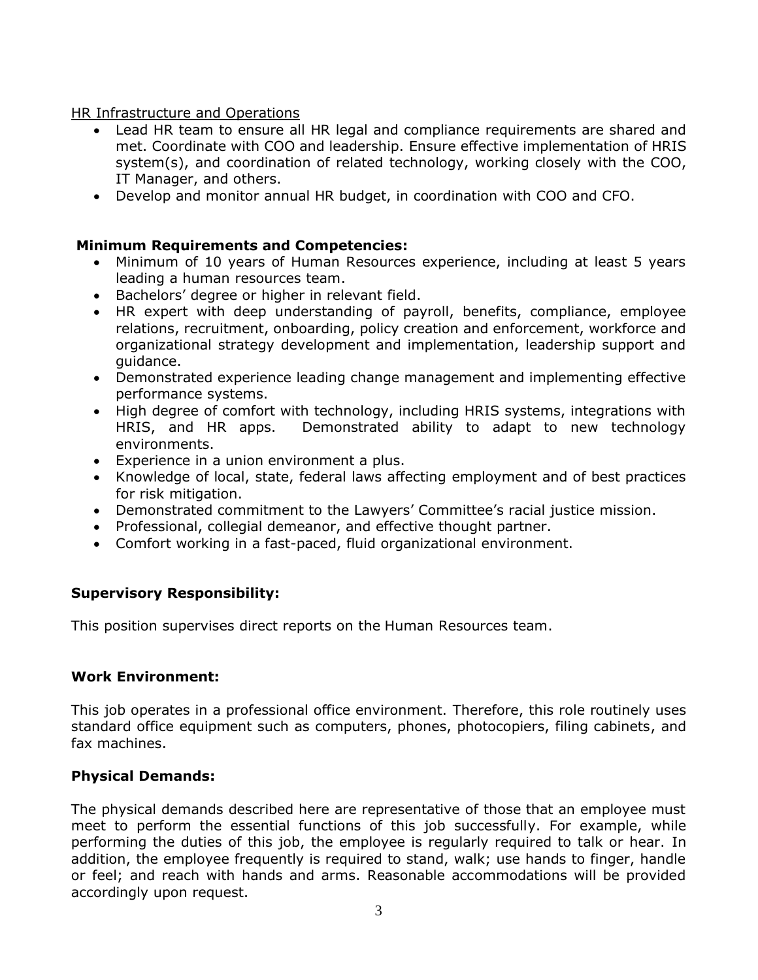## HR Infrastructure and Operations

- Lead HR team to ensure all HR legal and compliance requirements are shared and met. Coordinate with COO and leadership. Ensure effective implementation of HRIS system(s), and coordination of related technology, working closely with the COO, IT Manager, and others.
- Develop and monitor annual HR budget, in coordination with COO and CFO.

# **Minimum Requirements and Competencies:**

- Minimum of 10 years of Human Resources experience, including at least 5 years leading a human resources team.
- Bachelors' degree or higher in relevant field.
- HR expert with deep understanding of payroll, benefits, compliance, employee relations, recruitment, onboarding, policy creation and enforcement, workforce and organizational strategy development and implementation, leadership support and guidance.
- Demonstrated experience leading change management and implementing effective performance systems.
- High degree of comfort with technology, including HRIS systems, integrations with HRIS, and HR apps. Demonstrated ability to adapt to new technology environments.
- Experience in a union environment a plus.
- Knowledge of local, state, federal laws affecting employment and of best practices for risk mitigation.
- Demonstrated commitment to the Lawyers' Committee's racial justice mission.
- Professional, collegial demeanor, and effective thought partner.
- Comfort working in a fast-paced, fluid organizational environment.

# **Supervisory Responsibility:**

This position supervises direct reports on the Human Resources team.

# **Work Environment:**

This job operates in a professional office environment. Therefore, this role routinely uses standard office equipment such as computers, phones, photocopiers, filing cabinets, and fax machines.

# **Physical Demands:**

The physical demands described here are representative of those that an employee must meet to perform the essential functions of this job successfully. For example, while performing the duties of this job, the employee is regularly required to talk or hear. In addition, the employee frequently is required to stand, walk; use hands to finger, handle or feel; and reach with hands and arms. Reasonable accommodations will be provided accordingly upon request.